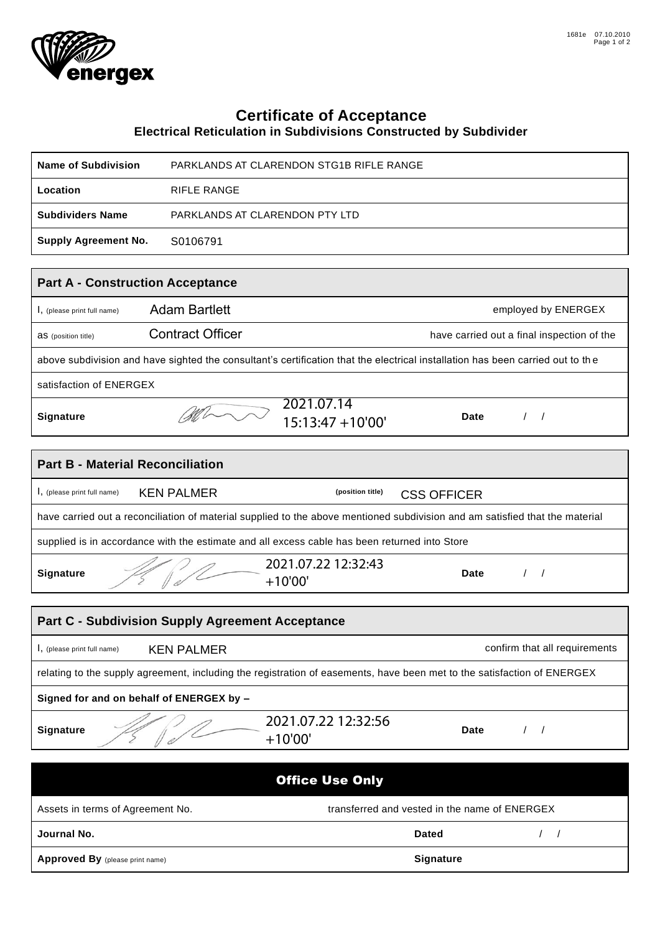

## **Certificate of Acceptance**

## **Electrical Reticulation in Subdivisions Constructed by Subdivider**

| <b>Name of Subdivision</b>                                                                                                     |                                | PARKLANDS AT CLARENDON STG1B RIFLE RANGE |                                               |                                            |  |  |
|--------------------------------------------------------------------------------------------------------------------------------|--------------------------------|------------------------------------------|-----------------------------------------------|--------------------------------------------|--|--|
| Location                                                                                                                       | <b>RIFLE RANGE</b>             |                                          |                                               |                                            |  |  |
| <b>Subdividers Name</b>                                                                                                        | PARKLANDS AT CLARENDON PTY LTD |                                          |                                               |                                            |  |  |
| <b>Supply Agreement No.</b>                                                                                                    | S0106791                       |                                          |                                               |                                            |  |  |
|                                                                                                                                |                                |                                          |                                               |                                            |  |  |
| <b>Part A - Construction Acceptance</b>                                                                                        |                                |                                          |                                               |                                            |  |  |
| I, (please print full name)                                                                                                    | <b>Adam Bartlett</b>           |                                          |                                               | employed by ENERGEX                        |  |  |
| <b>aS</b> (position title)                                                                                                     | <b>Contract Officer</b>        |                                          |                                               | have carried out a final inspection of the |  |  |
| above subdivision and have sighted the consultant's certification that the electrical installation has been carried out to the |                                |                                          |                                               |                                            |  |  |
| satisfaction of ENERGEX                                                                                                        |                                |                                          |                                               |                                            |  |  |
| Signature                                                                                                                      |                                | 2021.07.14<br>$15:13:47 + 10'00'$        | <b>Date</b>                                   | $\left  \right $                           |  |  |
|                                                                                                                                |                                |                                          |                                               |                                            |  |  |
| <b>Part B - Material Reconciliation</b>                                                                                        |                                |                                          |                                               |                                            |  |  |
| I, (please print full name)                                                                                                    | <b>KEN PALMER</b>              | (position title)                         | <b>CSS OFFICER</b>                            |                                            |  |  |
| have carried out a reconciliation of material supplied to the above mentioned subdivision and am satisfied that the material   |                                |                                          |                                               |                                            |  |  |
| supplied is in accordance with the estimate and all excess cable has been returned into Store                                  |                                |                                          |                                               |                                            |  |  |
| Signature                                                                                                                      |                                | 2021.07.22 12:32:43<br>$+10'00'$         | <b>Date</b>                                   | $\left  \right $                           |  |  |
|                                                                                                                                |                                |                                          |                                               |                                            |  |  |
| <b>Part C - Subdivision Supply Agreement Acceptance</b>                                                                        |                                |                                          |                                               |                                            |  |  |
| I, (please print full name)                                                                                                    | <b>KEN PALMER</b>              |                                          |                                               | confirm that all requirements              |  |  |
| relating to the supply agreement, including the registration of easements, have been met to the satisfaction of ENERGEX        |                                |                                          |                                               |                                            |  |  |
| Signed for and on behalf of ENERGEX by -                                                                                       |                                |                                          |                                               |                                            |  |  |
| Signature                                                                                                                      |                                | 2021.07.22 12:32:56<br>$+10'00'$         | <b>Date</b>                                   | $\left  \right $                           |  |  |
|                                                                                                                                |                                |                                          |                                               |                                            |  |  |
| <b>Office Use Only</b>                                                                                                         |                                |                                          |                                               |                                            |  |  |
| Assets in terms of Agreement No.                                                                                               |                                |                                          | transferred and vested in the name of ENERGEX |                                            |  |  |
| Journal No.                                                                                                                    |                                |                                          | <b>Dated</b>                                  | $\sqrt{ }$                                 |  |  |
| Approved By (please print name)                                                                                                |                                |                                          | <b>Signature</b>                              |                                            |  |  |